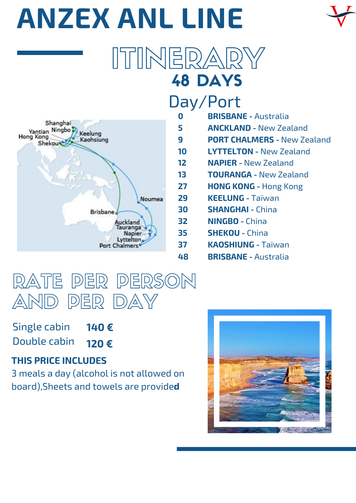# **ANZEX ANL LINE**

### 48 DAYS ITINERARY

**48**



### Day/Port

- **0 BRISBANE -** Australia
- **5 ANCKLAND -** New Zealand
- **9 PORT CHALMERS -** New Zealand
- **10 LYTTELTON -** New Zealand
- **12 NAPIER -** New Zealand
- **13 TOURANGA -** New Zealand
- **27 HONG KONG -** Hong Kong
- **29 KEELUNG -** Taïwan
- **30 SHANGHAI -** China
- **32 NINGBO -** China
- **35 SHEKOU -** China
- **37 KAOSHIUNG -** Taïwan
	- **BRISBANE** Australia



**140 €**  Single cabin Double cabin

**120 €**

### **THIS PRICE INCLUDES**

3 meals a day (alcohol is not allowed on board),Sheets and towels are provide**d**